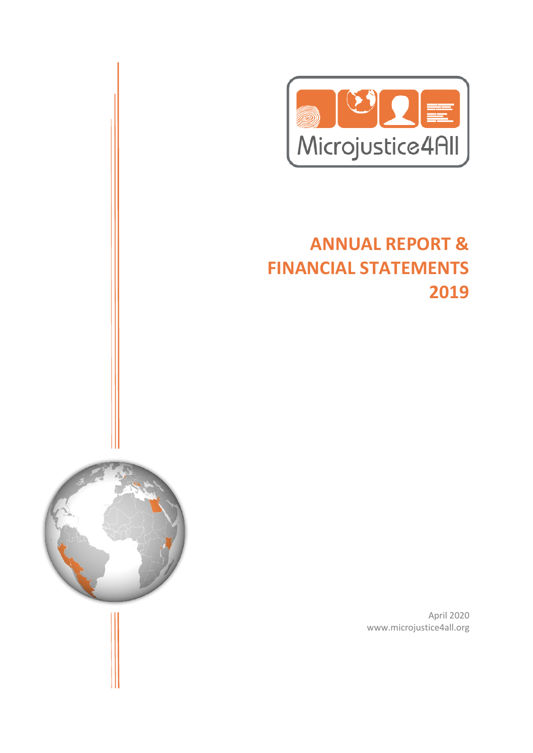

# **ANNUAL REPORT & FINANCIAL STATEMENTS 2019**



April 2020 www.microjustice4all.org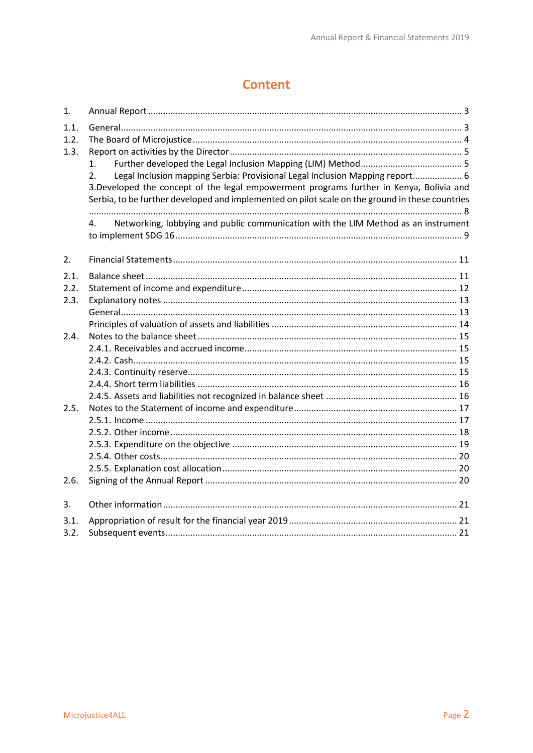## **Content**

| 1.           |                                                                                                 |
|--------------|-------------------------------------------------------------------------------------------------|
| 1.1.<br>1.2. |                                                                                                 |
| 1.3.         |                                                                                                 |
|              | 1.                                                                                              |
|              | Legal Inclusion mapping Serbia: Provisional Legal Inclusion Mapping report 6<br>2.              |
|              | 3.Developed the concept of the legal empowerment programs further in Kenya, Bolivia and         |
|              | Serbia, to be further developed and implemented on pilot scale on the ground in these countries |
|              |                                                                                                 |
|              | Networking, lobbying and public communication with the LIM Method as an instrument<br>4.        |
| 2.           |                                                                                                 |
| 2.1.         |                                                                                                 |
| 2.2.         |                                                                                                 |
| 2.3.         |                                                                                                 |
|              |                                                                                                 |
|              |                                                                                                 |
| 2.4.         |                                                                                                 |
|              |                                                                                                 |
|              |                                                                                                 |
|              |                                                                                                 |
|              |                                                                                                 |
|              |                                                                                                 |
| 2.5.         |                                                                                                 |
|              |                                                                                                 |
|              |                                                                                                 |
|              |                                                                                                 |
|              |                                                                                                 |
| 2.6.         |                                                                                                 |
|              |                                                                                                 |
| 3.           |                                                                                                 |
| 3.1.         |                                                                                                 |
| 3.2.         |                                                                                                 |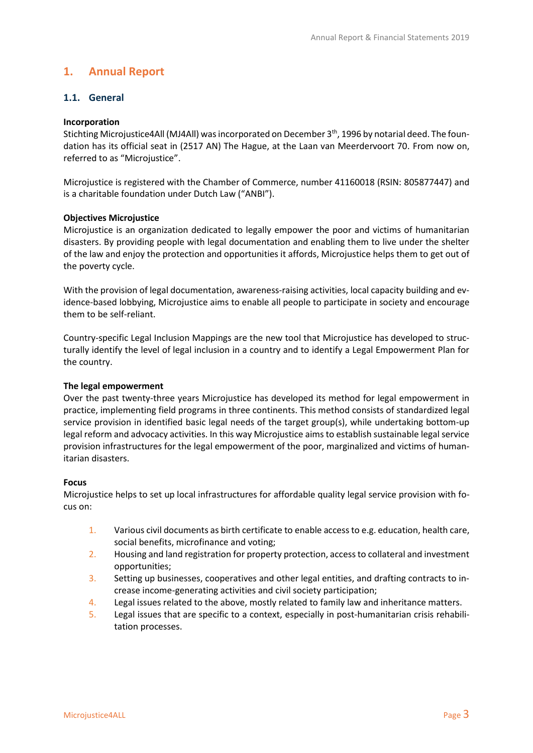## <span id="page-2-0"></span>**1. Annual Report**

#### <span id="page-2-1"></span>**1.1. General**

#### **Incorporation**

Stichting Microjustice4All (MJ4All) was incorporated on December 3<sup>th</sup>, 1996 by notarial deed. The foundation has its official seat in (2517 AN) The Hague, at the Laan van Meerdervoort 70. From now on, referred to as "Microjustice".

Microjustice is registered with the Chamber of Commerce, number 41160018 (RSIN: 805877447) and is a charitable foundation under Dutch Law ("ANBI").

#### **Objectives Microjustice**

Microjustice is an organization dedicated to legally empower the poor and victims of humanitarian disasters. By providing people with legal documentation and enabling them to live under the shelter of the law and enjoy the protection and opportunities it affords, Microjustice helps them to get out of the poverty cycle.

With the provision of legal documentation, awareness-raising activities, local capacity building and evidence-based lobbying, Microjustice aims to enable all people to participate in society and encourage them to be self-reliant.

Country-specific Legal Inclusion Mappings are the new tool that Microjustice has developed to structurally identify the level of legal inclusion in a country and to identify a Legal Empowerment Plan for the country.

#### **The legal empowerment**

Over the past twenty-three years Microjustice has developed its method for legal empowerment in practice, implementing field programs in three continents. This method consists of standardized legal service provision in identified basic legal needs of the target group(s), while undertaking bottom-up legal reform and advocacy activities. In this way Microjustice aims to establish sustainable legal service provision infrastructures for the legal empowerment of the poor, marginalized and victims of humanitarian disasters.

#### **Focus**

Microjustice helps to set up local infrastructures for affordable quality legal service provision with focus on:

- 1. Various civil documents as birth certificate to enable access to e.g. education, health care, social benefits, microfinance and voting;
- 2. Housing and land registration for property protection, access to collateral and investment opportunities;
- 3. Setting up businesses, cooperatives and other legal entities, and drafting contracts to increase income-generating activities and civil society participation;
- 4. Legal issues related to the above, mostly related to family law and inheritance matters.
- 5. Legal issues that are specific to a context, especially in post-humanitarian crisis rehabilitation processes.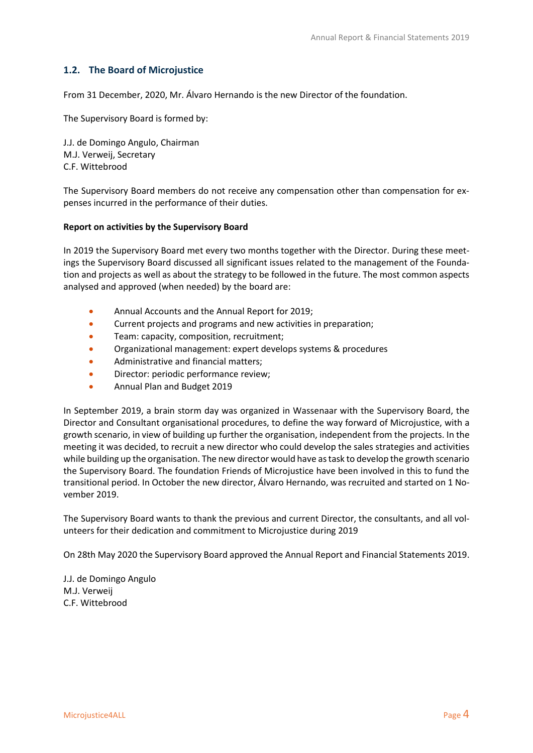#### <span id="page-3-0"></span>**1.2. The Board of Microjustice**

From 31 December, 2020, Mr. Álvaro Hernando is the new Director of the foundation.

The Supervisory Board is formed by:

J.J. de Domingo Angulo, Chairman M.J. Verweij, Secretary C.F. Wittebrood

The Supervisory Board members do not receive any compensation other than compensation for expenses incurred in the performance of their duties.

#### **Report on activities by the Supervisory Board**

In 2019 the Supervisory Board met every two months together with the Director. During these meetings the Supervisory Board discussed all significant issues related to the management of the Foundation and projects as well as about the strategy to be followed in the future. The most common aspects analysed and approved (when needed) by the board are:

- Annual Accounts and the Annual Report for 2019;
- Current projects and programs and new activities in preparation;
- Team: capacity, composition, recruitment;
- Organizational management: expert develops systems & procedures
- Administrative and financial matters;
- Director: periodic performance review;
- Annual Plan and Budget 2019

In September 2019, a brain storm day was organized in Wassenaar with the Supervisory Board, the Director and Consultant organisational procedures, to define the way forward of Microjustice, with a growth scenario, in view of building up further the organisation, independent from the projects. In the meeting it was decided, to recruit a new director who could develop the sales strategies and activities while building up the organisation. The new director would have as task to develop the growth scenario the Supervisory Board. The foundation Friends of Microjustice have been involved in this to fund the transitional period. In October the new director, Álvaro Hernando, was recruited and started on 1 November 2019.

The Supervisory Board wants to thank the previous and current Director, the consultants, and all volunteers for their dedication and commitment to Microjustice during 2019

On 28th May 2020 the Supervisory Board approved the Annual Report and Financial Statements 2019.

J.J. de Domingo Angulo M.J. Verweij C.F. Wittebrood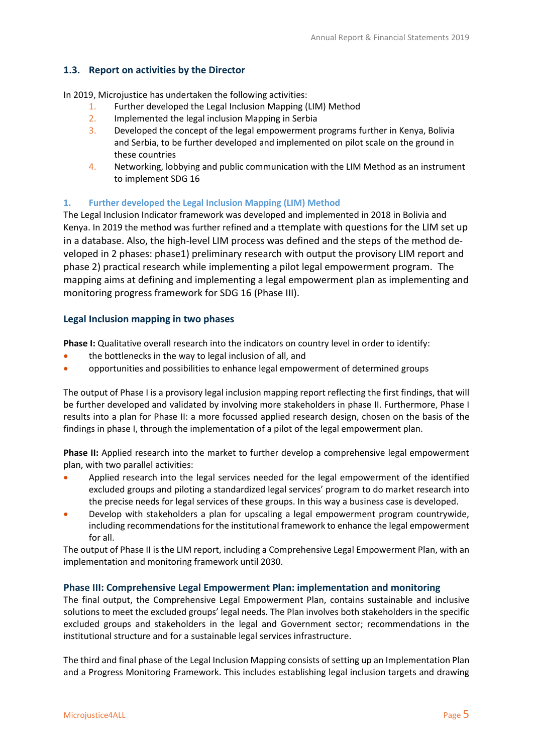#### <span id="page-4-0"></span>**1.3. Report on activities by the Director**

In 2019, Microjustice has undertaken the following activities:

- 1. Further developed the Legal Inclusion Mapping (LIM) Method
- 2. Implemented the legal inclusion Mapping in Serbia
- 3. Developed the concept of the legal empowerment programs further in Kenya, Bolivia and Serbia, to be further developed and implemented on pilot scale on the ground in these countries
- 4. Networking, lobbying and public communication with the LIM Method as an instrument to implement SDG 16

#### <span id="page-4-1"></span>**1. Further developed the Legal Inclusion Mapping (LIM) Method**

The Legal Inclusion Indicator framework was developed and implemented in 2018 in Bolivia and Kenya. In 2019 the method was further refined and a ttemplate with questions for the LIM set up in a database. Also, the high-level LIM process was defined and the steps of the method developed in 2 phases: phase1) preliminary research with output the provisory LIM report and phase 2) practical research while implementing a pilot legal empowerment program. The mapping aims at defining and implementing a legal empowerment plan as implementing and monitoring progress framework for SDG 16 (Phase III).

#### **Legal Inclusion mapping in two phases**

**Phase I:** Qualitative overall research into the indicators on country level in order to identify:

- the bottlenecks in the way to legal inclusion of all, and
- opportunities and possibilities to enhance legal empowerment of determined groups

The output of Phase I is a provisory legal inclusion mapping report reflecting the first findings, that will be further developed and validated by involving more stakeholders in phase II. Furthermore, Phase I results into a plan for Phase II: a more focussed applied research design, chosen on the basis of the findings in phase I, through the implementation of a pilot of the legal empowerment plan.

**Phase II:** Applied research into the market to further develop a comprehensive legal empowerment plan, with two parallel activities:

- Applied research into the legal services needed for the legal empowerment of the identified excluded groups and piloting a standardized legal services' program to do market research into the precise needs for legal services of these groups. In this way a business case is developed.
- Develop with stakeholders a plan for upscaling a legal empowerment program countrywide, including recommendations for the institutional framework to enhance the legal empowerment for all.

The output of Phase II is the LIM report, including a Comprehensive Legal Empowerment Plan, with an implementation and monitoring framework until 2030.

#### **Phase III: Comprehensive Legal Empowerment Plan: implementation and monitoring**

The final output, the Comprehensive Legal Empowerment Plan, contains sustainable and inclusive solutions to meet the excluded groups' legal needs. The Plan involves both stakeholders in the specific excluded groups and stakeholders in the legal and Government sector; recommendations in the institutional structure and for a sustainable legal services infrastructure.

The third and final phase of the Legal Inclusion Mapping consists of setting up an Implementation Plan and a Progress Monitoring Framework. This includes establishing legal inclusion targets and drawing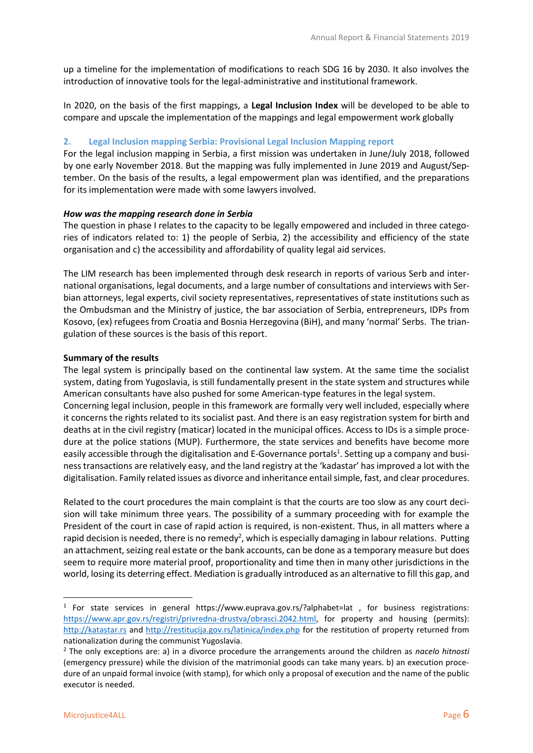up a timeline for the implementation of modifications to reach SDG 16 by 2030. It also involves the introduction of innovative tools for the legal-administrative and institutional framework.

In 2020, on the basis of the first mappings, a **Legal Inclusion Index** will be developed to be able to compare and upscale the implementation of the mappings and legal empowerment work globally

#### <span id="page-5-0"></span>**2. Legal Inclusion mapping Serbia: Provisional Legal Inclusion Mapping report**

For the legal inclusion mapping in Serbia, a first mission was undertaken in June/July 2018, followed by one early November 2018. But the mapping was fully implemented in June 2019 and August/September. On the basis of the results, a legal empowerment plan was identified, and the preparations for its implementation were made with some lawyers involved.

#### *How was the mapping research done in Serbia*

The question in phase I relates to the capacity to be legally empowered and included in three categories of indicators related to: 1) the people of Serbia, 2) the accessibility and efficiency of the state organisation and c) the accessibility and affordability of quality legal aid services.

The LIM research has been implemented through desk research in reports of various Serb and international organisations, legal documents, and a large number of consultations and interviews with Serbian attorneys, legal experts, civil society representatives, representatives of state institutions such as the Ombudsman and the Ministry of justice, the bar association of Serbia, entrepreneurs, IDPs from Kosovo, (ex) refugees from Croatia and Bosnia Herzegovina (BiH), and many 'normal' Serbs. The triangulation of these sources is the basis of this report.

#### **Summary of the results**

The legal system is principally based on the continental law system. At the same time the socialist system, dating from Yugoslavia, is still fundamentally present in the state system and structures while American consultants have also pushed for some American-type features in the legal system. Concerning legal inclusion, people in this framework are formally very well included, especially where it concerns the rights related to its socialist past. And there is an easy registration system for birth and deaths at in the civil registry (maticar) located in the municipal offices. Access to IDs is a simple procedure at the police stations (MUP). Furthermore, the state services and benefits have become more easily accessible through the digitalisation and E-Governance portals<sup>1</sup>. Setting up a company and busi-

ness transactions are relatively easy, and the land registry at the 'kadastar' has improved a lot with the digitalisation. Family related issues as divorce and inheritance entail simple, fast, and clear procedures.

Related to the court procedures the main complaint is that the courts are too slow as any court decision will take minimum three years. The possibility of a summary proceeding with for example the President of the court in case of rapid action is required, is non-existent. Thus, in all matters where a rapid decision is needed, there is no remedy<sup>2</sup>, which is especially damaging in labour relations. Putting an attachment, seizing real estate or the bank accounts, can be done as a temporary measure but does seem to require more material proof, proportionality and time then in many other jurisdictions in the world, losing its deterring effect. Mediation is gradually introduced as an alternative to fill this gap, and

<sup>&</sup>lt;sup>1</sup> For state services in general https://www.euprava.gov.rs/?alphabet=lat, for business registrations: [https://www.apr.gov.rs/registri/privredna-drustva/obrasci.2042.html,](https://www.apr.gov.rs/registri/privredna-drustva/obrasci.2042.html) for property and housing (permits): [http://katastar.rs](http://katastar.rs/) and<http://restitucija.gov.rs/latinica/index.php> for the restitution of property returned from nationalization during the communist Yugoslavia.

<sup>2</sup> The only exceptions are: a) in a divorce procedure the arrangements around the children as *nacelo hitnosti* (emergency pressure) while the division of the matrimonial goods can take many years. b) an execution procedure of an unpaid formal invoice (with stamp), for which only a proposal of execution and the name of the public executor is needed.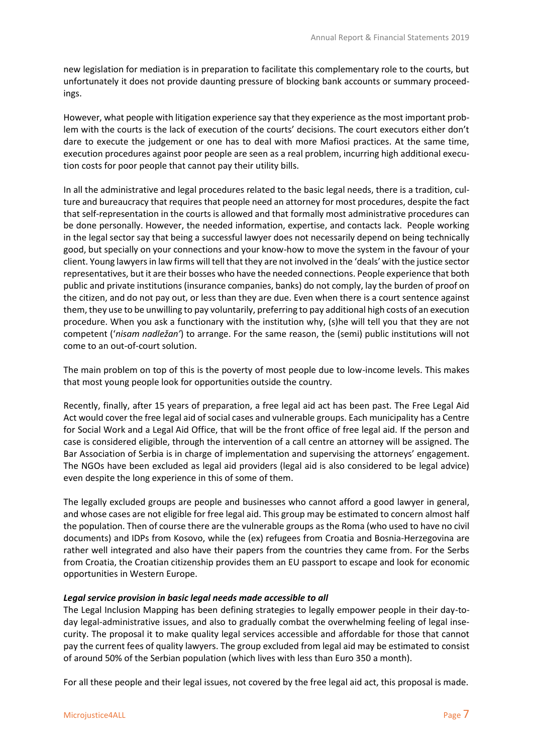new legislation for mediation is in preparation to facilitate this complementary role to the courts, but unfortunately it does not provide daunting pressure of blocking bank accounts or summary proceedings.

However, what people with litigation experience say that they experience as the most important problem with the courts is the lack of execution of the courts' decisions. The court executors either don't dare to execute the judgement or one has to deal with more Mafiosi practices. At the same time, execution procedures against poor people are seen as a real problem, incurring high additional execution costs for poor people that cannot pay their utility bills.

In all the administrative and legal procedures related to the basic legal needs, there is a tradition, culture and bureaucracy that requires that people need an attorney for most procedures, despite the fact that self-representation in the courts is allowed and that formally most administrative procedures can be done personally. However, the needed information, expertise, and contacts lack. People working in the legal sector say that being a successful lawyer does not necessarily depend on being technically good, but specially on your connections and your know-how to move the system in the favour of your client. Young lawyers in law firms will tell that they are not involved in the 'deals' with the justice sector representatives, but it are their bosses who have the needed connections. People experience that both public and private institutions (insurance companies, banks) do not comply, lay the burden of proof on the citizen, and do not pay out, or less than they are due. Even when there is a court sentence against them, they use to be unwilling to pay voluntarily, preferring to pay additional high costs of an execution procedure. When you ask a functionary with the institution why, (s)he will tell you that they are not competent ('*nisam nadležan'*) to arrange. For the same reason, the (semi) public institutions will not come to an out-of-court solution.

The main problem on top of this is the poverty of most people due to low-income levels. This makes that most young people look for opportunities outside the country.

Recently, finally, after 15 years of preparation, a free legal aid act has been past. The Free Legal Aid Act would cover the free legal aid of social cases and vulnerable groups. Each municipality has a Centre for Social Work and a Legal Aid Office, that will be the front office of free legal aid. If the person and case is considered eligible, through the intervention of a call centre an attorney will be assigned. The Bar Association of Serbia is in charge of implementation and supervising the attorneys' engagement. The NGOs have been excluded as legal aid providers (legal aid is also considered to be legal advice) even despite the long experience in this of some of them.

The legally excluded groups are people and businesses who cannot afford a good lawyer in general, and whose cases are not eligible for free legal aid. This group may be estimated to concern almost half the population. Then of course there are the vulnerable groups as the Roma (who used to have no civil documents) and IDPs from Kosovo, while the (ex) refugees from Croatia and Bosnia-Herzegovina are rather well integrated and also have their papers from the countries they came from. For the Serbs from Croatia, the Croatian citizenship provides them an EU passport to escape and look for economic opportunities in Western Europe.

#### *Legal service provision in basic legal needs made accessible to all*

The Legal Inclusion Mapping has been defining strategies to legally empower people in their day-today legal-administrative issues, and also to gradually combat the overwhelming feeling of legal insecurity. The proposal it to make quality legal services accessible and affordable for those that cannot pay the current fees of quality lawyers. The group excluded from legal aid may be estimated to consist of around 50% of the Serbian population (which lives with less than Euro 350 a month).

For all these people and their legal issues, not covered by the free legal aid act, this proposal is made.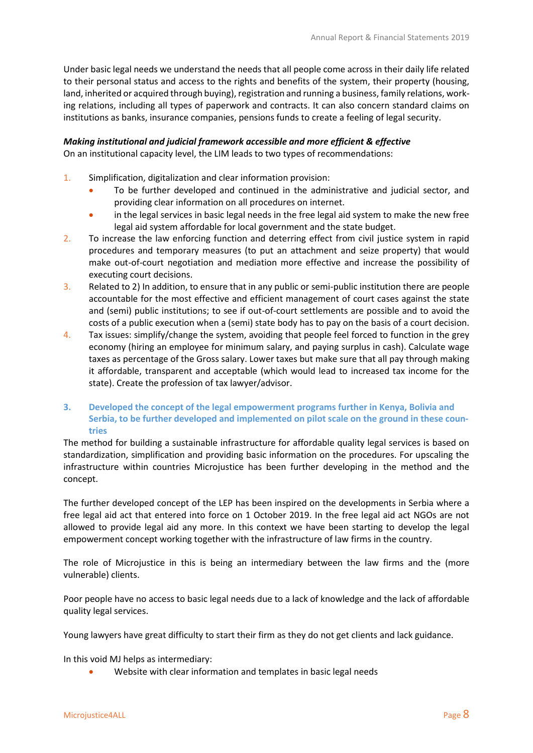Under basic legal needs we understand the needs that all people come across in their daily life related to their personal status and access to the rights and benefits of the system, their property (housing, land, inherited or acquired through buying), registration and running a business, family relations, working relations, including all types of paperwork and contracts. It can also concern standard claims on institutions as banks, insurance companies, pensions funds to create a feeling of legal security.

## *Making institutional and judicial framework accessible and more efficient & effective*

On an institutional capacity level, the LIM leads to two types of recommendations:

- 1. Simplification, digitalization and clear information provision:
	- To be further developed and continued in the administrative and judicial sector, and providing clear information on all procedures on internet.
	- in the legal services in basic legal needs in the free legal aid system to make the new free legal aid system affordable for local government and the state budget.
- 2. To increase the law enforcing function and deterring effect from civil justice system in rapid procedures and temporary measures (to put an attachment and seize property) that would make out-of-court negotiation and mediation more effective and increase the possibility of executing court decisions.
- 3. Related to 2) In addition, to ensure that in any public or semi-public institution there are people accountable for the most effective and efficient management of court cases against the state and (semi) public institutions; to see if out-of-court settlements are possible and to avoid the costs of a public execution when a (semi) state body has to pay on the basis of a court decision.
- 4. Tax issues: simplify/change the system, avoiding that people feel forced to function in the grey economy (hiring an employee for minimum salary, and paying surplus in cash). Calculate wage taxes as percentage of the Gross salary. Lower taxes but make sure that all pay through making it affordable, transparent and acceptable (which would lead to increased tax income for the state). Create the profession of tax lawyer/advisor.

#### <span id="page-7-0"></span>**3. Developed the concept of the legal empowerment programs further in Kenya, Bolivia and Serbia, to be further developed and implemented on pilot scale on the ground in these countries**

The method for building a sustainable infrastructure for affordable quality legal services is based on standardization, simplification and providing basic information on the procedures. For upscaling the infrastructure within countries Microjustice has been further developing in the method and the concept.

The further developed concept of the LEP has been inspired on the developments in Serbia where a free legal aid act that entered into force on 1 October 2019. In the free legal aid act NGOs are not allowed to provide legal aid any more. In this context we have been starting to develop the legal empowerment concept working together with the infrastructure of law firms in the country.

The role of Microjustice in this is being an intermediary between the law firms and the (more vulnerable) clients.

Poor people have no access to basic legal needs due to a lack of knowledge and the lack of affordable quality legal services.

Young lawyers have great difficulty to start their firm as they do not get clients and lack guidance.

In this void MJ helps as intermediary:

• Website with clear information and templates in basic legal needs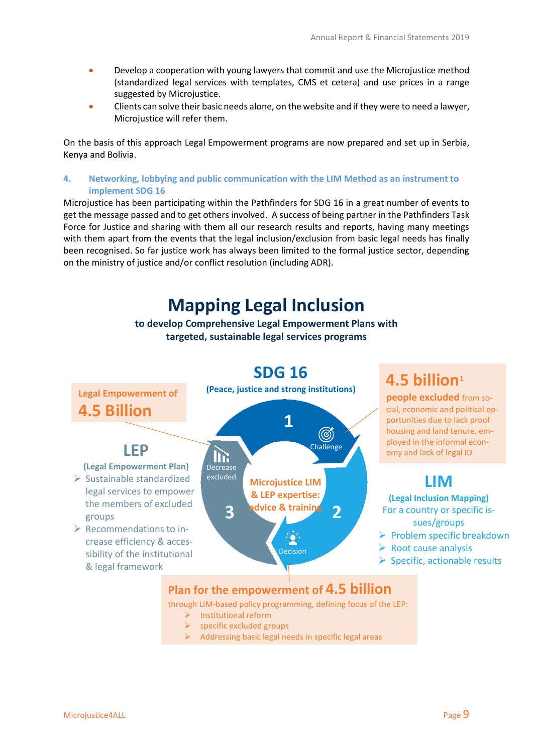- Develop a cooperation with young lawyers that commit and use the Microjustice method (standardized legal services with templates, CMS et cetera) and use prices in a range suggested by Microjustice.
- Clients can solve their basic needs alone, on the website and if they were to need a lawyer, Microjustice will refer them.

On the basis of this approach Legal Empowerment programs are now prepared and set up in Serbia, Kenya and Bolivia.

#### <span id="page-8-0"></span>**4. Networking, lobbying and public communication with the LIM Method as an instrument to implement SDG 16**

Microjustice has been participating within the Pathfinders for SDG 16 in a great number of events to get the message passed and to get others involved. A success of being partner in the Pathfinders Task Force for Justice and sharing with them all our research results and reports, having many meetings with them apart from the events that the legal inclusion/exclusion from basic legal needs has finally been recognised. So far justice work has always been limited to the formal justice sector, depending on the ministry of justice and/or conflict resolution (including ADR).

## **Mapping Legal Inclusion**

**to develop Comprehensive Legal Empowerment Plans with targeted, sustainable legal services programs**



through LIM-based policy programming, defining focus of the LEP:

- ➢ Institutional reform
- $\triangleright$  specific excluded groups
- ➢ Addressing basic legal needs in specific legal areas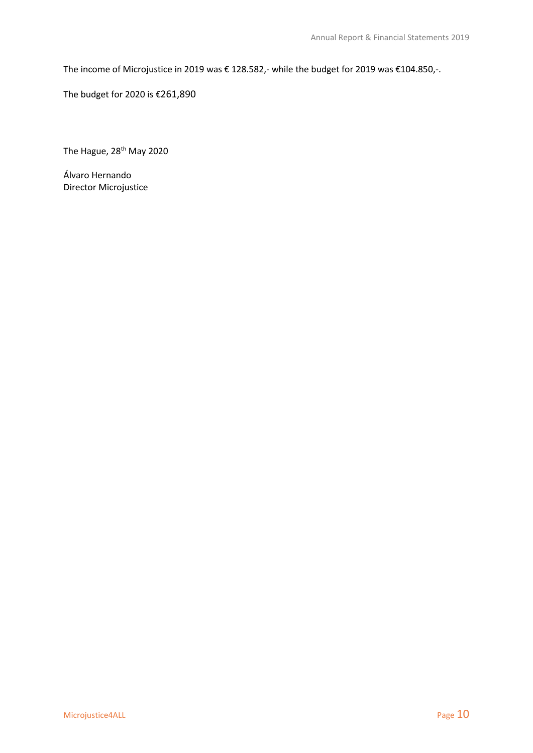The income of Microjustice in 2019 was € 128.582,- while the budget for 2019 was €104.850,-.

The budget for 2020 is €261,890

The Hague, 28<sup>th</sup> May 2020

Álvaro Hernando Director Microjustice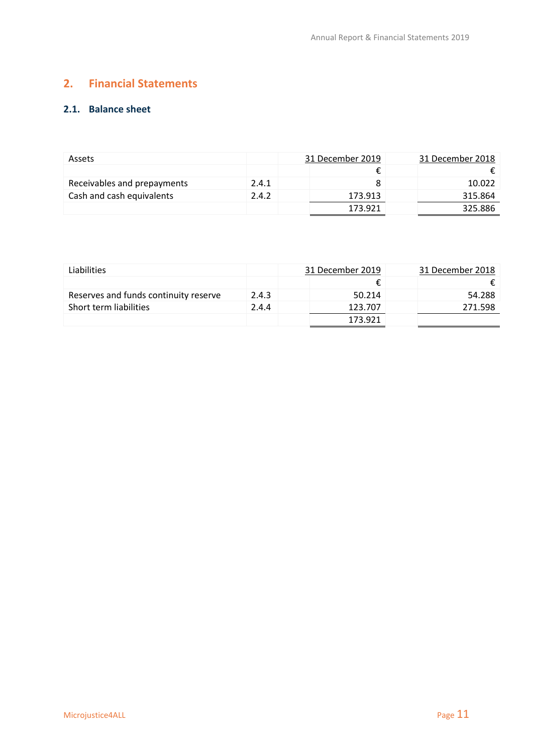## <span id="page-10-0"></span>**2. Financial Statements**

#### <span id="page-10-1"></span>**2.1. Balance sheet**

| <b>Assets</b>               |       | 31 December 2019 | 31 December 2018 |
|-----------------------------|-------|------------------|------------------|
|                             |       |                  |                  |
| Receivables and prepayments | 2.4.1 |                  | 10.022           |
| Cash and cash equivalents   | 2.4.2 | 173.913          | 315.864          |
|                             |       | 173.921          | 325.886          |

| Liabilities                           |       | 31 December 2019 | 31 December 2018 |
|---------------------------------------|-------|------------------|------------------|
|                                       |       |                  |                  |
| Reserves and funds continuity reserve | 2.4.3 | 50.214           | 54.288           |
| Short term liabilities                | 2.4.4 | 123.707          | 271.598          |
|                                       |       | 173.921          |                  |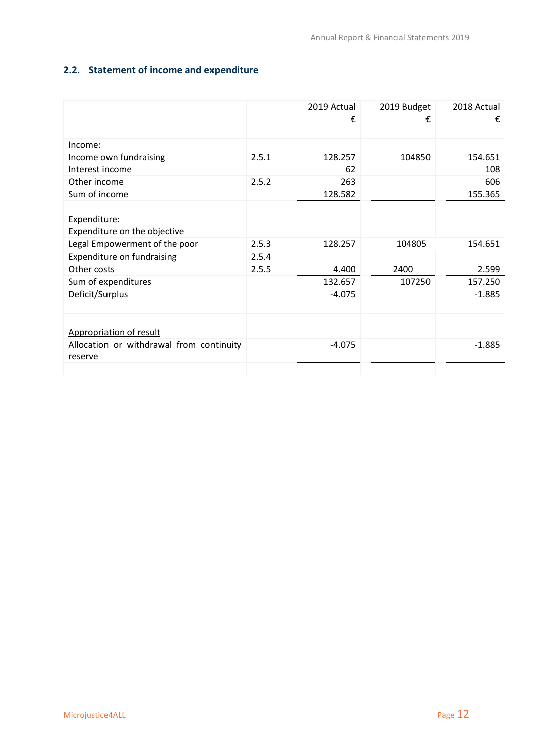## <span id="page-11-0"></span>**2.2. Statement of income and expenditure**

|                                          |       | 2019 Actual | 2019 Budget | 2018 Actual |
|------------------------------------------|-------|-------------|-------------|-------------|
|                                          |       | €           | €           | €           |
|                                          |       |             |             |             |
| Income:                                  |       |             |             |             |
| Income own fundraising                   | 2.5.1 | 128.257     | 104850      | 154.651     |
| Interest income                          |       | 62          |             | 108         |
| Other income                             | 2.5.2 | 263         |             | 606         |
| Sum of income                            |       | 128.582     |             | 155.365     |
|                                          |       |             |             |             |
| Expenditure:                             |       |             |             |             |
| Expenditure on the objective             |       |             |             |             |
| Legal Empowerment of the poor            | 2.5.3 | 128.257     | 104805      | 154.651     |
| Expenditure on fundraising               | 2.5.4 |             |             |             |
| Other costs                              | 2.5.5 | 4.400       | 2400        | 2.599       |
| Sum of expenditures                      |       | 132.657     | 107250      | 157.250     |
| Deficit/Surplus                          |       | $-4.075$    |             | $-1.885$    |
|                                          |       |             |             |             |
|                                          |       |             |             |             |
| Appropriation of result                  |       |             |             |             |
| Allocation or withdrawal from continuity |       | $-4.075$    |             | $-1.885$    |
| reserve                                  |       |             |             |             |
|                                          |       |             |             |             |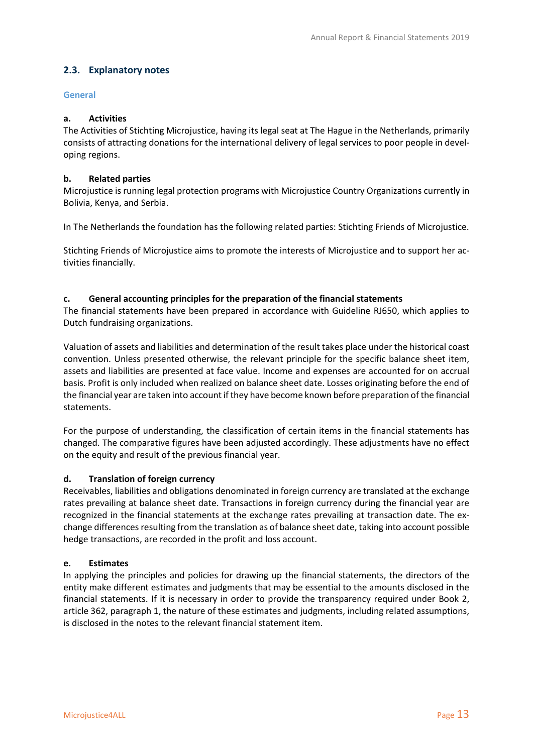#### <span id="page-12-0"></span>**2.3. Explanatory notes**

#### <span id="page-12-1"></span>**General**

#### **a. Activities**

The Activities of Stichting Microjustice, having its legal seat at The Hague in the Netherlands, primarily consists of attracting donations for the international delivery of legal services to poor people in developing regions.

#### **b. Related parties**

Microjustice is running legal protection programs with Microjustice Country Organizations currently in Bolivia, Kenya, and Serbia.

In The Netherlands the foundation has the following related parties: Stichting Friends of Microjustice.

Stichting Friends of Microjustice aims to promote the interests of Microjustice and to support her activities financially.

#### **c. General accounting principles for the preparation of the financial statements**

The financial statements have been prepared in accordance with Guideline RJ650, which applies to Dutch fundraising organizations.

Valuation of assets and liabilities and determination of the result takes place under the historical coast convention. Unless presented otherwise, the relevant principle for the specific balance sheet item, assets and liabilities are presented at face value. Income and expenses are accounted for on accrual basis. Profit is only included when realized on balance sheet date. Losses originating before the end of the financial year are taken into account if they have become known before preparation of the financial statements.

For the purpose of understanding, the classification of certain items in the financial statements has changed. The comparative figures have been adjusted accordingly. These adjustments have no effect on the equity and result of the previous financial year.

#### **d. Translation of foreign currency**

Receivables, liabilities and obligations denominated in foreign currency are translated at the exchange rates prevailing at balance sheet date. Transactions in foreign currency during the financial year are recognized in the financial statements at the exchange rates prevailing at transaction date. The exchange differences resulting from the translation as of balance sheet date, taking into account possible hedge transactions, are recorded in the profit and loss account.

#### **e. Estimates**

<span id="page-12-2"></span>In applying the principles and policies for drawing up the financial statements, the directors of the entity make different estimates and judgments that may be essential to the amounts disclosed in the financial statements. If it is necessary in order to provide the transparency required under Book 2, article 362, paragraph 1, the nature of these estimates and judgments, including related assumptions, is disclosed in the notes to the relevant financial statement item.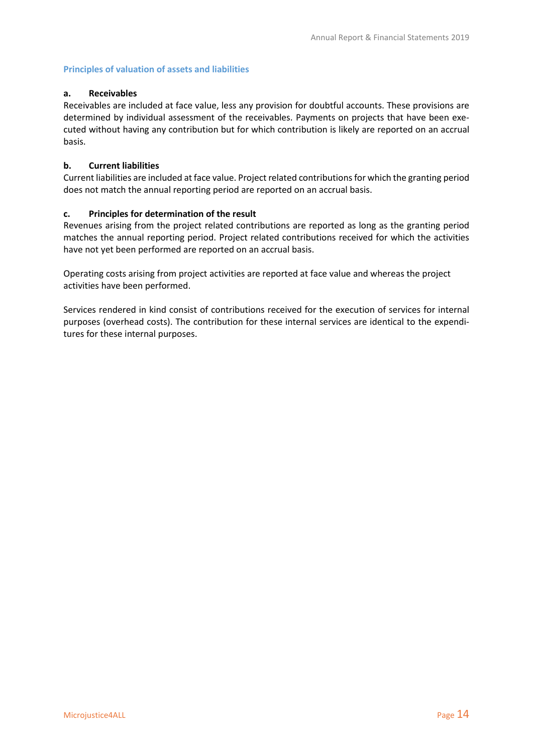#### **Principles of valuation of assets and liabilities**

#### **a. Receivables**

Receivables are included at face value, less any provision for doubtful accounts. These provisions are determined by individual assessment of the receivables. Payments on projects that have been executed without having any contribution but for which contribution is likely are reported on an accrual basis.

#### **b. Current liabilities**

Current liabilities are included at face value. Project related contributions for which the granting period does not match the annual reporting period are reported on an accrual basis.

#### **c. Principles for determination of the result**

Revenues arising from the project related contributions are reported as long as the granting period matches the annual reporting period. Project related contributions received for which the activities have not yet been performed are reported on an accrual basis.

Operating costs arising from project activities are reported at face value and whereas the project activities have been performed.

Services rendered in kind consist of contributions received for the execution of services for internal purposes (overhead costs). The contribution for these internal services are identical to the expenditures for these internal purposes.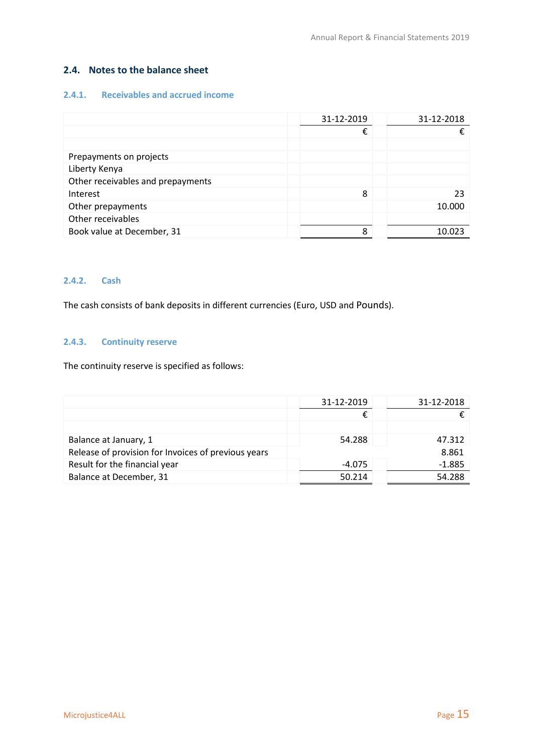#### <span id="page-14-0"></span>**2.4. Notes to the balance sheet**

#### <span id="page-14-1"></span>**2.4.1. Receivables and accrued income**

|                                   | 31-12-2019 | 31-12-2018 |
|-----------------------------------|------------|------------|
|                                   | €          |            |
|                                   |            |            |
| Prepayments on projects           |            |            |
| Liberty Kenya                     |            |            |
| Other receivables and prepayments |            |            |
| Interest                          | 8          | 23         |
| Other prepayments                 |            | 10.000     |
| Other receivables                 |            |            |
| Book value at December, 31        | Ջ          | 10.023     |

#### <span id="page-14-2"></span>**2.4.2. Cash**

The cash consists of bank deposits in different currencies (Euro, USD and Pounds).

#### <span id="page-14-3"></span>**2.4.3. Continuity reserve**

The continuity reserve is specified as follows:

|                                                     | 31-12-2019 | 31-12-2018 |
|-----------------------------------------------------|------------|------------|
|                                                     |            |            |
|                                                     |            |            |
| Balance at January, 1                               | 54.288     | 47.312     |
| Release of provision for Invoices of previous years |            | 8.861      |
| Result for the financial year                       | $-4.075$   | $-1.885$   |
| Balance at December, 31                             | 50.214     | 54.288     |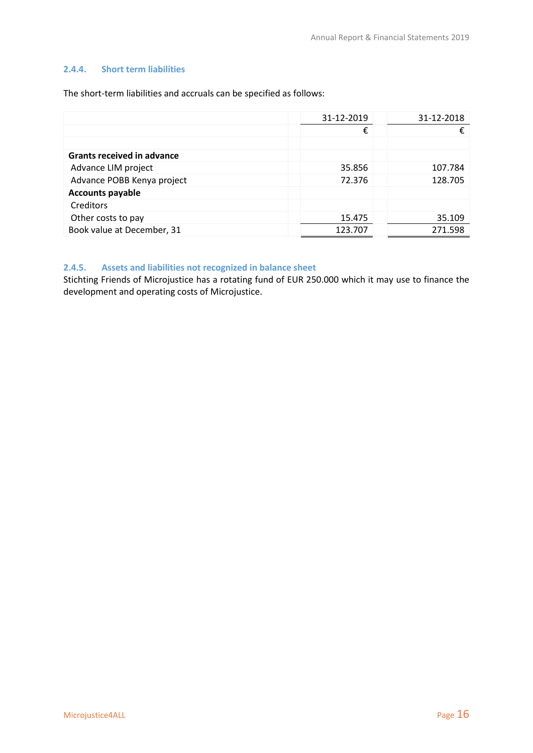#### <span id="page-15-0"></span>**2.4.4. Short term liabilities**

The short-term liabilities and accruals can be specified as follows:

|                                   | 31-12-2019 | 31-12-2018 |
|-----------------------------------|------------|------------|
|                                   | €          | €          |
|                                   |            |            |
| <b>Grants received in advance</b> |            |            |
| Advance LIM project               | 35.856     | 107.784    |
| Advance POBB Kenya project        | 72.376     | 128.705    |
| <b>Accounts payable</b>           |            |            |
| Creditors                         |            |            |
| Other costs to pay                | 15.475     | 35.109     |
| Book value at December, 31        | 123.707    | 271.598    |

#### <span id="page-15-1"></span>**2.4.5. Assets and liabilities not recognized in balance sheet**

Stichting Friends of Microjustice has a rotating fund of EUR 250.000 which it may use to finance the development and operating costs of Microjustice.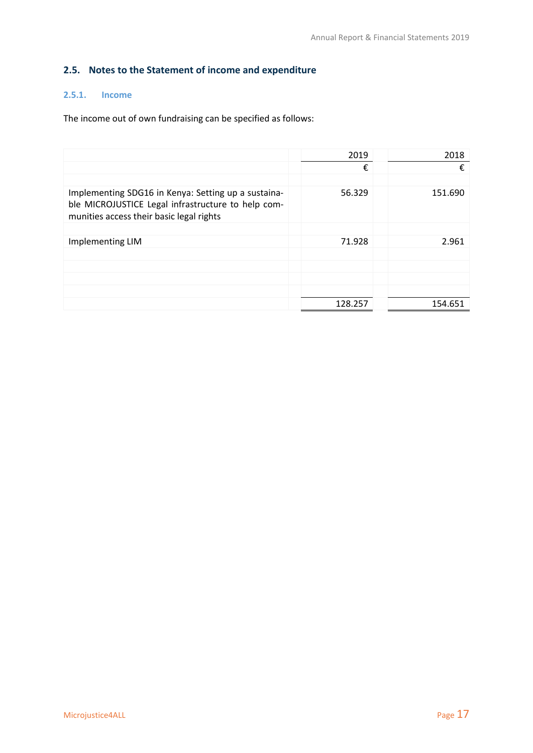## <span id="page-16-0"></span>**2.5. Notes to the Statement of income and expenditure**

### <span id="page-16-1"></span>**2.5.1. Income**

The income out of own fundraising can be specified as follows:

|                                                                                                                                                       | 2019    | 2018    |
|-------------------------------------------------------------------------------------------------------------------------------------------------------|---------|---------|
|                                                                                                                                                       | €       | €       |
|                                                                                                                                                       |         |         |
| Implementing SDG16 in Kenya: Setting up a sustaina-<br>ble MICROJUSTICE Legal infrastructure to help com-<br>munities access their basic legal rights | 56.329  | 151.690 |
|                                                                                                                                                       |         |         |
| Implementing LIM                                                                                                                                      | 71.928  | 2.961   |
|                                                                                                                                                       |         |         |
|                                                                                                                                                       |         |         |
|                                                                                                                                                       |         |         |
|                                                                                                                                                       |         |         |
|                                                                                                                                                       | 128.257 | 154.651 |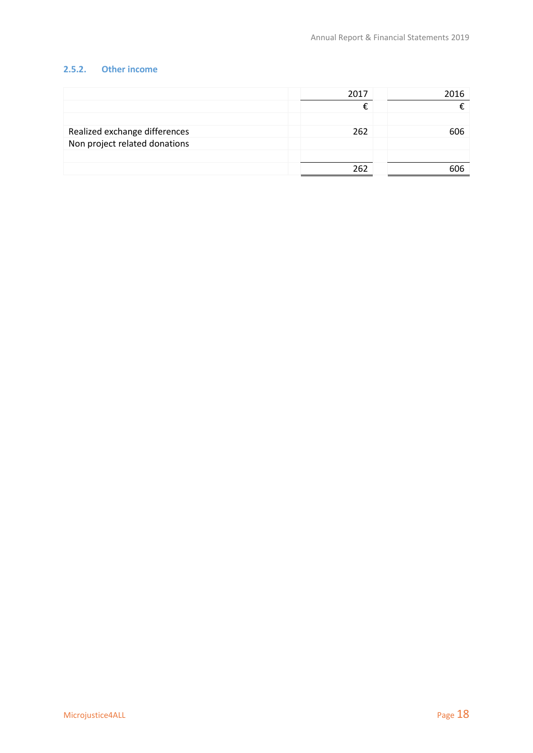#### <span id="page-17-0"></span>**2.5.2. Other income**

|                               | 2017 | 2016 |
|-------------------------------|------|------|
|                               |      |      |
|                               |      |      |
| Realized exchange differences | 262  | 606  |
| Non project related donations |      |      |
|                               |      |      |
|                               | 262  |      |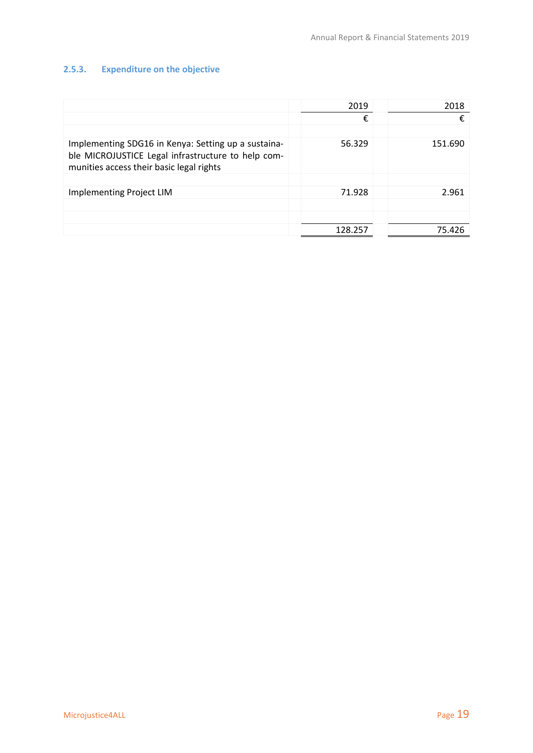## <span id="page-18-0"></span>**2.5.3. Expenditure on the objective**

|                                                                                                                                                       | 2019    | 2018    |
|-------------------------------------------------------------------------------------------------------------------------------------------------------|---------|---------|
|                                                                                                                                                       | €       | €       |
|                                                                                                                                                       |         |         |
| Implementing SDG16 in Kenya: Setting up a sustaina-<br>ble MICROJUSTICE Legal infrastructure to help com-<br>munities access their basic legal rights | 56.329  | 151.690 |
|                                                                                                                                                       |         |         |
| <b>Implementing Project LIM</b>                                                                                                                       | 71.928  | 2.961   |
|                                                                                                                                                       |         |         |
|                                                                                                                                                       |         |         |
|                                                                                                                                                       | 128.257 | 75.426  |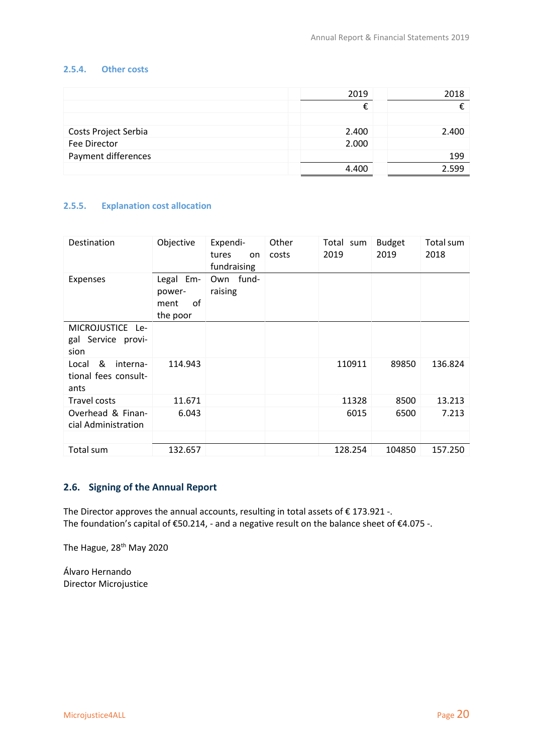#### <span id="page-19-0"></span>**2.5.4. Other costs**

|                      | 2019  | 2018  |
|----------------------|-------|-------|
|                      |       |       |
|                      |       |       |
| Costs Project Serbia | 2.400 | 2.400 |
| Fee Director         | 2.000 |       |
| Payment differences  |       | 199   |
|                      | 4.400 | 2.599 |

#### <span id="page-19-1"></span>**2.5.5. Explanation cost allocation**

| Destination                                            | Objective                                        | Expendi-<br>tures<br>on<br>fundraising | Other<br>costs | Total sum<br>2019 | <b>Budget</b><br>2019 | Total sum<br>2018 |
|--------------------------------------------------------|--------------------------------------------------|----------------------------------------|----------------|-------------------|-----------------------|-------------------|
| <b>Expenses</b>                                        | Em-<br>Legal<br>power-<br>of<br>ment<br>the poor | -fund<br>Own<br>raising                |                |                   |                       |                   |
| MICROJUSTICE Le-<br>gal Service provi-<br>sion         |                                                  |                                        |                |                   |                       |                   |
| &<br>interna-<br>Local<br>tional fees consult-<br>ants | 114.943                                          |                                        |                | 110911            | 89850                 | 136.824           |
| Travel costs                                           | 11.671                                           |                                        |                | 11328             | 8500                  | 13.213            |
| Overhead & Finan-<br>cial Administration               | 6.043                                            |                                        |                | 6015              | 6500                  | 7.213             |
|                                                        |                                                  |                                        |                |                   |                       |                   |
| Total sum                                              | 132.657                                          |                                        |                | 128.254           | 104850                | 157.250           |

#### <span id="page-19-2"></span>**2.6. Signing of the Annual Report**

The Director approves the annual accounts, resulting in total assets of  $\epsilon$  173.921 -. The foundation's capital of €50.214, - and a negative result on the balance sheet of €4.075 -.

The Hague, 28<sup>th</sup> May 2020

Álvaro Hernando Director Microjustice